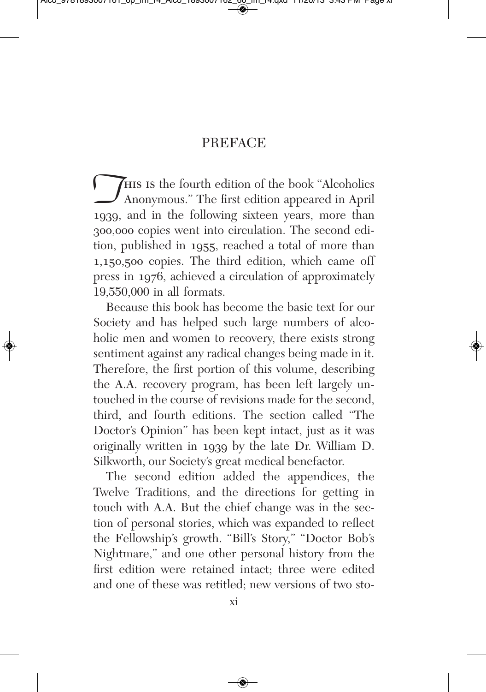## PREFACE

This is the fourth edition of the book "Alcoholics" Anonymous." The first edition appeared in April 1939, and in the following sixteen years, more than Anonymous." The first edition appeared in April 300,000 copies went into circulation. The second edition, published in 1955, reached a total of more than 1,150,500 copies. The third edition, which came off press in 1976, achieved a circulation of approximately 19,550,000 in all formats.

Because this book has become the basic text for our Society and has helped such large numbers of alcoholic men and women to recovery, there exists strong sentiment against any radical changes being made in it. Therefore, the first portion of this volume, describing the A.A. recovery program, has been left largely untouched in the course of revisions made for the second, third, and fourth editions. The section called "The Doctor's Opinion" has been kept intact, just as it was originally written in 1939 by the late Dr. William D. Silkworth, our Society's great medical benefactor.

The second edition added the appendices, the Twelve Traditions, and the directions for getting in touch with A.A. But the chief change was in the section of personal stories, which was expanded to reflect the Fellowship's growth. "Bill's Story," "Doctor Bob's Nightmare," and one other personal history from the first edition were retained intact; three were edited and one of these was retitled; new versions of two sto-